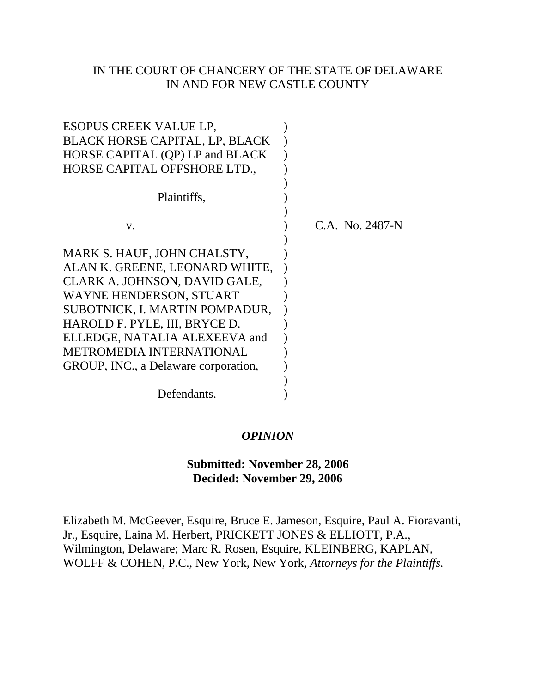### IN THE COURT OF CHANCERY OF THE STATE OF DELAWARE IN AND FOR NEW CASTLE COUNTY

| ESOPUS CREEK VALUE LP.                |                 |
|---------------------------------------|-----------------|
| <b>BLACK HORSE CAPITAL, LP, BLACK</b> |                 |
| HORSE CAPITAL (QP) LP and BLACK       |                 |
| HORSE CAPITAL OFFSHORE LTD.,          |                 |
|                                       |                 |
| Plaintiffs,                           |                 |
|                                       |                 |
| V.                                    | C.A. No. 2487-N |
|                                       |                 |
| MARK S. HAUF, JOHN CHALSTY,           |                 |
| ALAN K. GREENE, LEONARD WHITE,        |                 |
| CLARK A. JOHNSON, DAVID GALE,         |                 |
| WAYNE HENDERSON, STUART               |                 |
| SUBOTNICK, I. MARTIN POMPADUR,        |                 |
| HAROLD F. PYLE, III, BRYCE D.         |                 |
| ELLEDGE, NATALIA ALEXEEVA and         |                 |
| <b>METROMEDIA INTERNATIONAL</b>       |                 |
| GROUP, INC., a Delaware corporation,  |                 |
|                                       |                 |
| Defendants.                           |                 |

#### *OPINION*

# **Submitted: November 28, 2006 Decided: November 29, 2006**

Elizabeth M. McGeever, Esquire, Bruce E. Jameson, Esquire, Paul A. Fioravanti, Jr., Esquire, Laina M. Herbert, PRICKETT JONES & ELLIOTT, P.A., Wilmington, Delaware; Marc R. Rosen, Esquire, KLEINBERG, KAPLAN, WOLFF & COHEN, P.C., New York, New York, *Attorneys for the Plaintiffs.*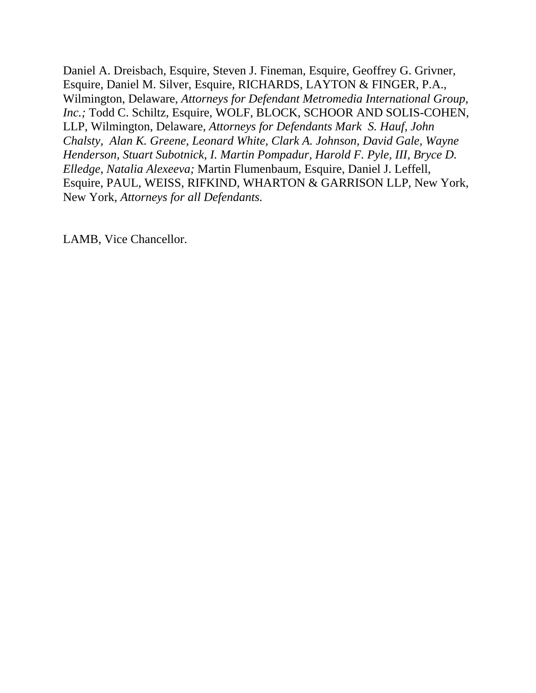Daniel A. Dreisbach, Esquire, Steven J. Fineman, Esquire, Geoffrey G. Grivner, Esquire, Daniel M. Silver, Esquire, RICHARDS, LAYTON & FINGER, P.A., Wilmington, Delaware, *Attorneys for Defendant Metromedia International Group, Inc.;* Todd C. Schiltz, Esquire, WOLF, BLOCK, SCHOOR AND SOLIS-COHEN, LLP, Wilmington, Delaware, *Attorneys for Defendants Mark S. Hauf, John Chalsty, Alan K. Greene, Leonard White, Clark A. Johnson, David Gale, Wayne Henderson, Stuart Subotnick, I. Martin Pompadur, Harold F. Pyle, III, Bryce D. Elledge, Natalia Alexeeva;* Martin Flumenbaum, Esquire, Daniel J. Leffell, Esquire, PAUL, WEISS, RIFKIND, WHARTON & GARRISON LLP, New York, New York, *Attorneys for all Defendants.*

LAMB, Vice Chancellor.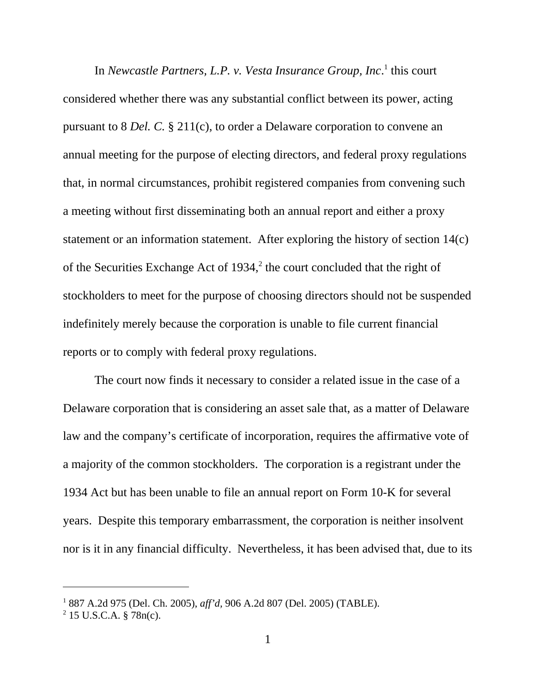In *Newcastle Partners, L.P. v. Vesta Insurance Group, Inc.*<sup>1</sup> this court considered whether there was any substantial conflict between its power, acting pursuant to 8 *Del. C.* § 211(c), to order a Delaware corporation to convene an annual meeting for the purpose of electing directors, and federal proxy regulations that, in normal circumstances, prohibit registered companies from convening such a meeting without first disseminating both an annual report and either a proxy statement or an information statement. After exploring the history of section 14(c) of the Securities Exchange Act of  $1934$ ,<sup>2</sup> the court concluded that the right of stockholders to meet for the purpose of choosing directors should not be suspended indefinitely merely because the corporation is unable to file current financial reports or to comply with federal proxy regulations.

The court now finds it necessary to consider a related issue in the case of a Delaware corporation that is considering an asset sale that, as a matter of Delaware law and the company's certificate of incorporation, requires the affirmative vote of a majority of the common stockholders. The corporation is a registrant under the 1934 Act but has been unable to file an annual report on Form 10-K for several years. Despite this temporary embarrassment, the corporation is neither insolvent nor is it in any financial difficulty. Nevertheless, it has been advised that, due to its

<sup>1</sup> 887 A.2d 975 (Del. Ch. 2005), *aff'd,* 906 A.2d 807 (Del. 2005) (TABLE).

 $2$  15 U.S.C.A. § 78n(c).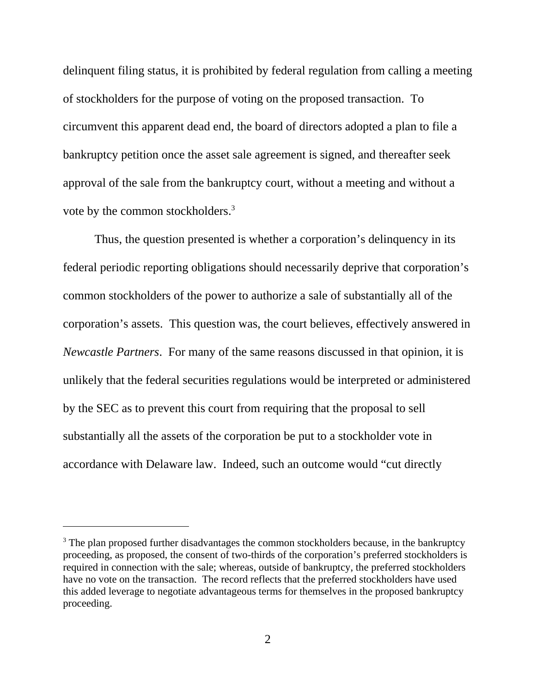delinquent filing status, it is prohibited by federal regulation from calling a meeting of stockholders for the purpose of voting on the proposed transaction. To circumvent this apparent dead end, the board of directors adopted a plan to file a bankruptcy petition once the asset sale agreement is signed, and thereafter seek approval of the sale from the bankruptcy court, without a meeting and without a vote by the common stockholders.3

Thus, the question presented is whether a corporation's delinquency in its federal periodic reporting obligations should necessarily deprive that corporation's common stockholders of the power to authorize a sale of substantially all of the corporation's assets. This question was, the court believes, effectively answered in *Newcastle Partners*. For many of the same reasons discussed in that opinion, it is unlikely that the federal securities regulations would be interpreted or administered by the SEC as to prevent this court from requiring that the proposal to sell substantially all the assets of the corporation be put to a stockholder vote in accordance with Delaware law. Indeed, such an outcome would "cut directly

<sup>&</sup>lt;sup>3</sup> The plan proposed further disadvantages the common stockholders because, in the bankruptcy proceeding, as proposed, the consent of two-thirds of the corporation's preferred stockholders is required in connection with the sale; whereas, outside of bankruptcy, the preferred stockholders have no vote on the transaction. The record reflects that the preferred stockholders have used this added leverage to negotiate advantageous terms for themselves in the proposed bankruptcy proceeding.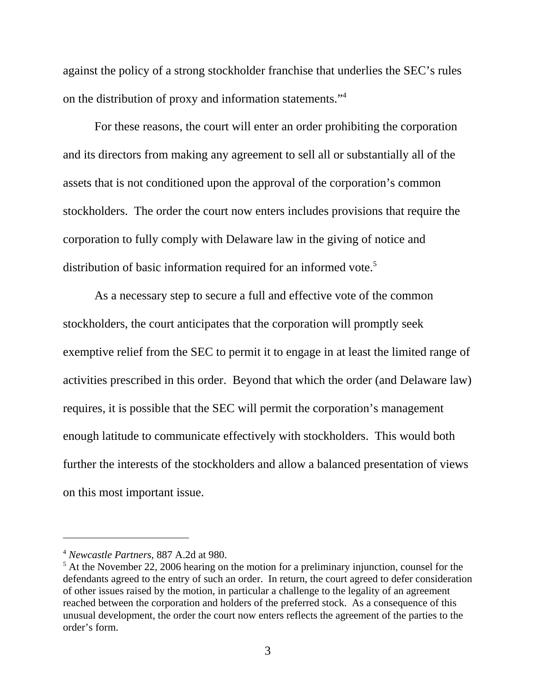against the policy of a strong stockholder franchise that underlies the SEC's rules on the distribution of proxy and information statements."4

For these reasons, the court will enter an order prohibiting the corporation and its directors from making any agreement to sell all or substantially all of the assets that is not conditioned upon the approval of the corporation's common stockholders. The order the court now enters includes provisions that require the corporation to fully comply with Delaware law in the giving of notice and distribution of basic information required for an informed vote.<sup>5</sup>

As a necessary step to secure a full and effective vote of the common stockholders, the court anticipates that the corporation will promptly seek exemptive relief from the SEC to permit it to engage in at least the limited range of activities prescribed in this order. Beyond that which the order (and Delaware law) requires, it is possible that the SEC will permit the corporation's management enough latitude to communicate effectively with stockholders. This would both further the interests of the stockholders and allow a balanced presentation of views on this most important issue.

<sup>4</sup> *Newcastle Partners*, 887 A.2d at 980.

 $<sup>5</sup>$  At the November 22, 2006 hearing on the motion for a preliminary injunction, counsel for the</sup> defendants agreed to the entry of such an order. In return, the court agreed to defer consideration of other issues raised by the motion, in particular a challenge to the legality of an agreement reached between the corporation and holders of the preferred stock. As a consequence of this unusual development, the order the court now enters reflects the agreement of the parties to the order's form.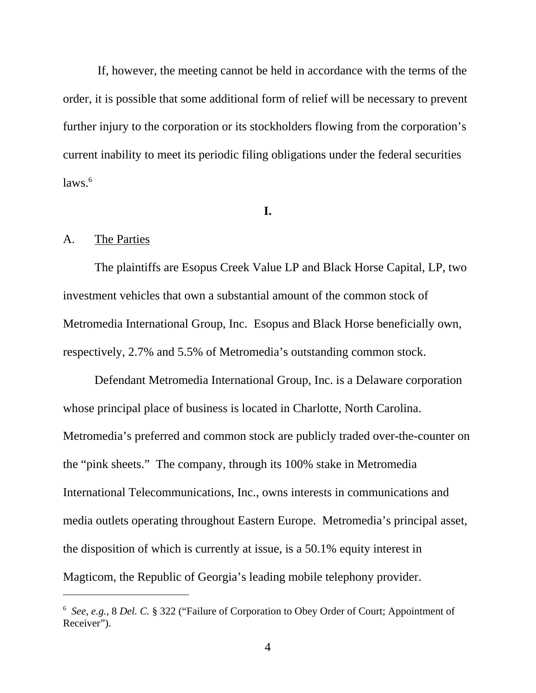If, however, the meeting cannot be held in accordance with the terms of the order, it is possible that some additional form of relief will be necessary to prevent further injury to the corporation or its stockholders flowing from the corporation's current inability to meet its periodic filing obligations under the federal securities  $laws.<sup>6</sup>$ 

#### **I.**

#### A. The Parties

The plaintiffs are Esopus Creek Value LP and Black Horse Capital, LP, two investment vehicles that own a substantial amount of the common stock of Metromedia International Group, Inc. Esopus and Black Horse beneficially own, respectively, 2.7% and 5.5% of Metromedia's outstanding common stock.

Defendant Metromedia International Group, Inc. is a Delaware corporation whose principal place of business is located in Charlotte, North Carolina. Metromedia's preferred and common stock are publicly traded over-the-counter on the "pink sheets." The company, through its 100% stake in Metromedia International Telecommunications, Inc., owns interests in communications and media outlets operating throughout Eastern Europe. Metromedia's principal asset, the disposition of which is currently at issue, is a 50.1% equity interest in Magticom, the Republic of Georgia's leading mobile telephony provider.

<sup>6</sup> *See, e.g.,* 8 *Del. C.* § 322 ("Failure of Corporation to Obey Order of Court; Appointment of Receiver").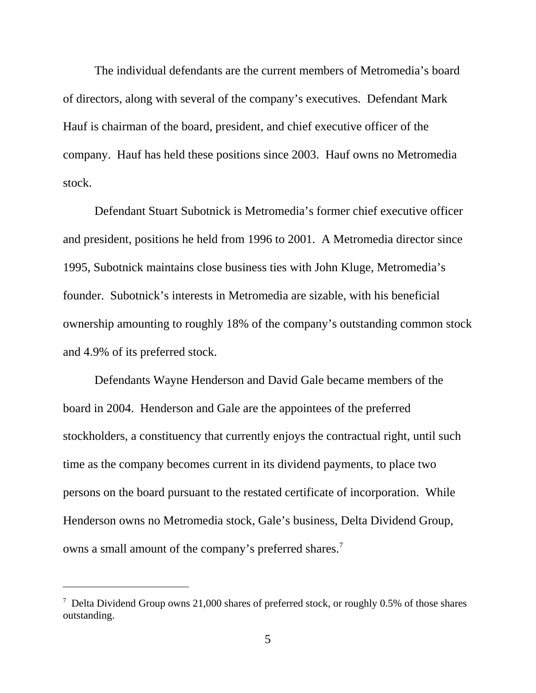The individual defendants are the current members of Metromedia's board of directors, along with several of the company's executives. Defendant Mark Hauf is chairman of the board, president, and chief executive officer of the company. Hauf has held these positions since 2003. Hauf owns no Metromedia stock.

Defendant Stuart Subotnick is Metromedia's former chief executive officer and president, positions he held from 1996 to 2001. A Metromedia director since 1995, Subotnick maintains close business ties with John Kluge, Metromedia's founder. Subotnick's interests in Metromedia are sizable, with his beneficial ownership amounting to roughly 18% of the company's outstanding common stock and 4.9% of its preferred stock.

Defendants Wayne Henderson and David Gale became members of the board in 2004. Henderson and Gale are the appointees of the preferred stockholders, a constituency that currently enjoys the contractual right, until such time as the company becomes current in its dividend payments, to place two persons on the board pursuant to the restated certificate of incorporation. While Henderson owns no Metromedia stock, Gale's business, Delta Dividend Group, owns a small amount of the company's preferred shares.<sup>7</sup>

<sup>&</sup>lt;sup>7</sup> Delta Dividend Group owns 21,000 shares of preferred stock, or roughly 0.5% of those shares outstanding.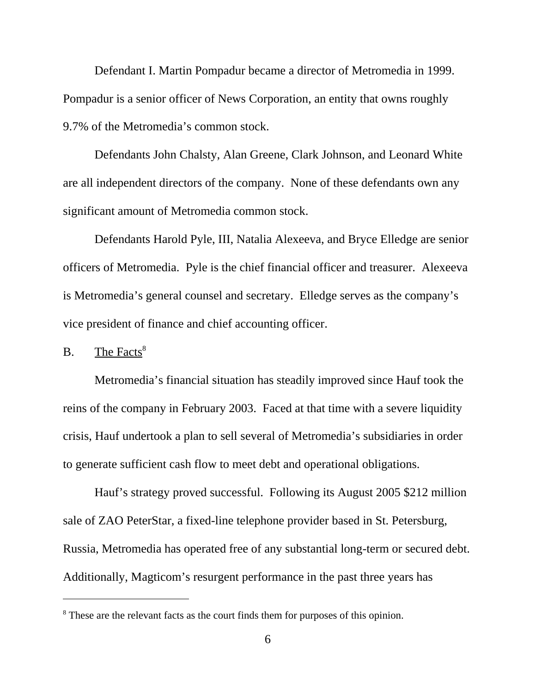Defendant I. Martin Pompadur became a director of Metromedia in 1999. Pompadur is a senior officer of News Corporation, an entity that owns roughly 9.7% of the Metromedia's common stock.

Defendants John Chalsty, Alan Greene, Clark Johnson, and Leonard White are all independent directors of the company. None of these defendants own any significant amount of Metromedia common stock.

Defendants Harold Pyle, III, Natalia Alexeeva, and Bryce Elledge are senior officers of Metromedia. Pyle is the chief financial officer and treasurer. Alexeeva is Metromedia's general counsel and secretary. Elledge serves as the company's vice president of finance and chief accounting officer.

 $B.$  The Facts<sup>8</sup>

Metromedia's financial situation has steadily improved since Hauf took the reins of the company in February 2003. Faced at that time with a severe liquidity crisis, Hauf undertook a plan to sell several of Metromedia's subsidiaries in order to generate sufficient cash flow to meet debt and operational obligations.

Hauf's strategy proved successful. Following its August 2005 \$212 million sale of ZAO PeterStar, a fixed-line telephone provider based in St. Petersburg, Russia, Metromedia has operated free of any substantial long-term or secured debt. Additionally, Magticom's resurgent performance in the past three years has

<sup>&</sup>lt;sup>8</sup> These are the relevant facts as the court finds them for purposes of this opinion.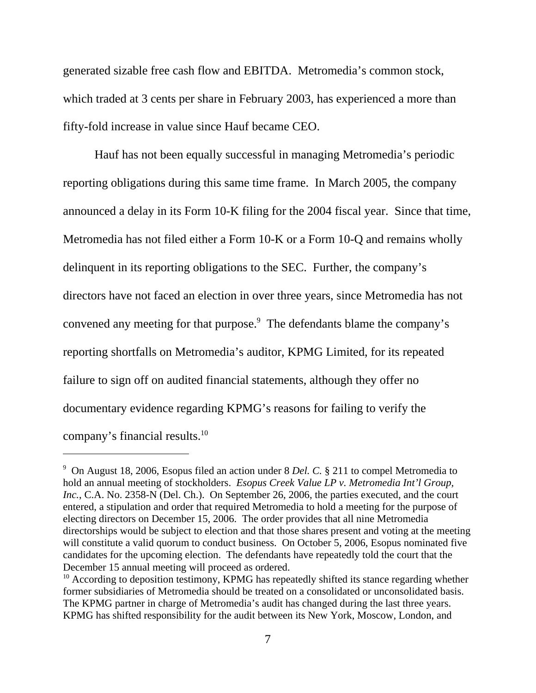generated sizable free cash flow and EBITDA. Metromedia's common stock, which traded at 3 cents per share in February 2003, has experienced a more than fifty-fold increase in value since Hauf became CEO.

Hauf has not been equally successful in managing Metromedia's periodic reporting obligations during this same time frame. In March 2005, the company announced a delay in its Form 10-K filing for the 2004 fiscal year. Since that time, Metromedia has not filed either a Form 10-K or a Form 10-Q and remains wholly delinquent in its reporting obligations to the SEC. Further, the company's directors have not faced an election in over three years, since Metromedia has not convened any meeting for that purpose.<sup>9</sup> The defendants blame the company's reporting shortfalls on Metromedia's auditor, KPMG Limited, for its repeated failure to sign off on audited financial statements, although they offer no documentary evidence regarding KPMG's reasons for failing to verify the company's financial results.10

<sup>9</sup> On August 18, 2006, Esopus filed an action under 8 *Del. C.* § 211 to compel Metromedia to hold an annual meeting of stockholders. *Esopus Creek Value LP v. Metromedia Int'l Group,* Inc., C.A. No. 2358-N (Del. Ch.). On September 26, 2006, the parties executed, and the court entered, a stipulation and order that required Metromedia to hold a meeting for the purpose of electing directors on December 15, 2006. The order provides that all nine Metromedia directorships would be subject to election and that those shares present and voting at the meeting will constitute a valid quorum to conduct business. On October 5, 2006, Esopus nominated five candidates for the upcoming election. The defendants have repeatedly told the court that the December 15 annual meeting will proceed as ordered.

 $10$  According to deposition testimony, KPMG has repeatedly shifted its stance regarding whether former subsidiaries of Metromedia should be treated on a consolidated or unconsolidated basis. The KPMG partner in charge of Metromedia's audit has changed during the last three years. KPMG has shifted responsibility for the audit between its New York, Moscow, London, and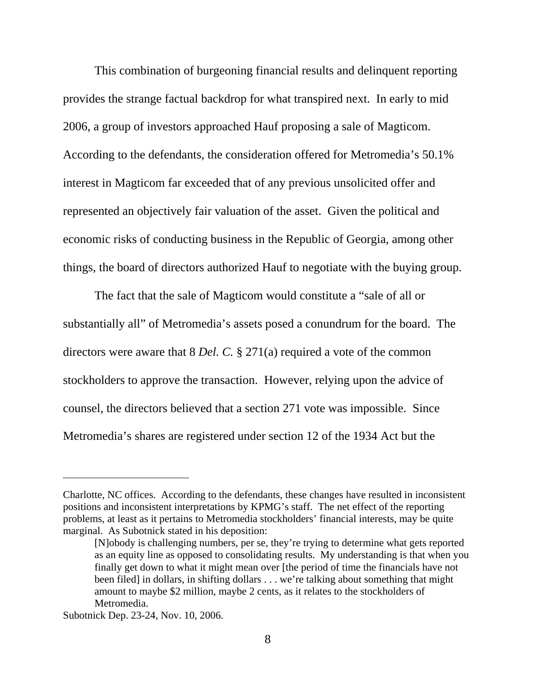This combination of burgeoning financial results and delinquent reporting provides the strange factual backdrop for what transpired next. In early to mid 2006, a group of investors approached Hauf proposing a sale of Magticom. According to the defendants, the consideration offered for Metromedia's 50.1% interest in Magticom far exceeded that of any previous unsolicited offer and represented an objectively fair valuation of the asset. Given the political and economic risks of conducting business in the Republic of Georgia, among other things, the board of directors authorized Hauf to negotiate with the buying group.

The fact that the sale of Magticom would constitute a "sale of all or substantially all" of Metromedia's assets posed a conundrum for the board. The directors were aware that 8 *Del. C.* § 271(a) required a vote of the common stockholders to approve the transaction. However, relying upon the advice of counsel, the directors believed that a section 271 vote was impossible. Since Metromedia's shares are registered under section 12 of the 1934 Act but the

Charlotte, NC offices. According to the defendants, these changes have resulted in inconsistent positions and inconsistent interpretations by KPMG's staff. The net effect of the reporting problems, at least as it pertains to Metromedia stockholders' financial interests, may be quite marginal. As Subotnick stated in his deposition:

<sup>[</sup>N]obody is challenging numbers, per se, they're trying to determine what gets reported as an equity line as opposed to consolidating results. My understanding is that when you finally get down to what it might mean over [the period of time the financials have not been filed] in dollars, in shifting dollars . . . we're talking about something that might amount to maybe \$2 million, maybe 2 cents, as it relates to the stockholders of Metromedia.

Subotnick Dep. 23-24, Nov. 10, 2006.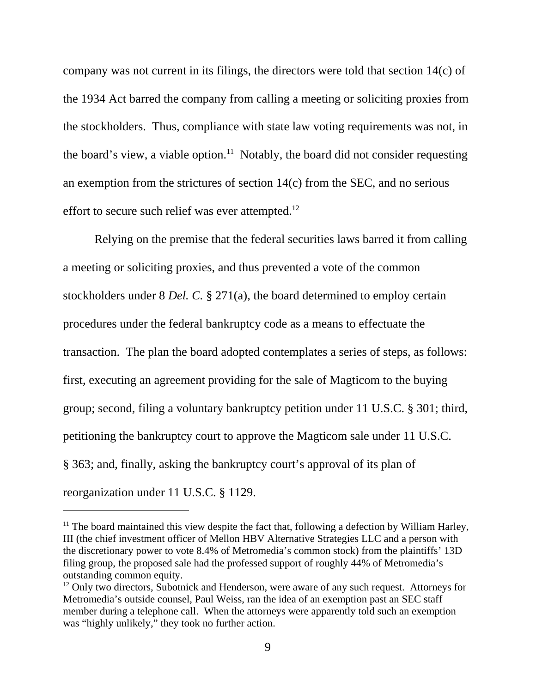company was not current in its filings, the directors were told that section 14(c) of the 1934 Act barred the company from calling a meeting or soliciting proxies from the stockholders. Thus, compliance with state law voting requirements was not, in the board's view, a viable option.<sup>11</sup> Notably, the board did not consider requesting an exemption from the strictures of section 14(c) from the SEC, and no serious effort to secure such relief was ever attempted.<sup>12</sup>

Relying on the premise that the federal securities laws barred it from calling a meeting or soliciting proxies, and thus prevented a vote of the common stockholders under 8 *Del. C.* § 271(a), the board determined to employ certain procedures under the federal bankruptcy code as a means to effectuate the transaction. The plan the board adopted contemplates a series of steps, as follows: first, executing an agreement providing for the sale of Magticom to the buying group; second, filing a voluntary bankruptcy petition under 11 U.S.C. § 301; third, petitioning the bankruptcy court to approve the Magticom sale under 11 U.S.C. § 363; and, finally, asking the bankruptcy court's approval of its plan of reorganization under 11 U.S.C. § 1129.

 $11$  The board maintained this view despite the fact that, following a defection by William Harley, III (the chief investment officer of Mellon HBV Alternative Strategies LLC and a person with the discretionary power to vote 8.4% of Metromedia's common stock) from the plaintiffs' 13D filing group, the proposed sale had the professed support of roughly 44% of Metromedia's outstanding common equity.

<sup>&</sup>lt;sup>12</sup> Only two directors, Subotnick and Henderson, were aware of any such request. Attorneys for Metromedia's outside counsel, Paul Weiss, ran the idea of an exemption past an SEC staff member during a telephone call. When the attorneys were apparently told such an exemption was "highly unlikely," they took no further action.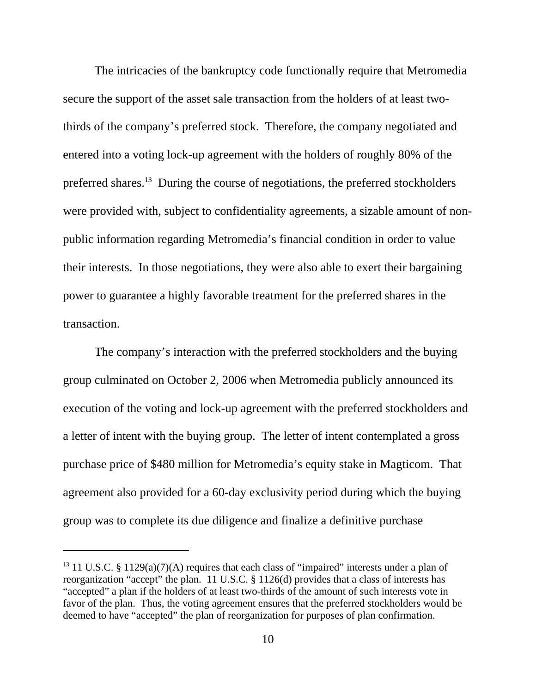The intricacies of the bankruptcy code functionally require that Metromedia secure the support of the asset sale transaction from the holders of at least twothirds of the company's preferred stock. Therefore, the company negotiated and entered into a voting lock-up agreement with the holders of roughly 80% of the preferred shares.13 During the course of negotiations, the preferred stockholders were provided with, subject to confidentiality agreements, a sizable amount of nonpublic information regarding Metromedia's financial condition in order to value their interests. In those negotiations, they were also able to exert their bargaining power to guarantee a highly favorable treatment for the preferred shares in the transaction.

The company's interaction with the preferred stockholders and the buying group culminated on October 2, 2006 when Metromedia publicly announced its execution of the voting and lock-up agreement with the preferred stockholders and a letter of intent with the buying group. The letter of intent contemplated a gross purchase price of \$480 million for Metromedia's equity stake in Magticom. That agreement also provided for a 60-day exclusivity period during which the buying group was to complete its due diligence and finalize a definitive purchase

<sup>&</sup>lt;sup>13</sup> 11 U.S.C. § 1129(a)(7)(A) requires that each class of "impaired" interests under a plan of reorganization "accept" the plan. 11 U.S.C. § 1126(d) provides that a class of interests has "accepted" a plan if the holders of at least two-thirds of the amount of such interests vote in favor of the plan. Thus, the voting agreement ensures that the preferred stockholders would be deemed to have "accepted" the plan of reorganization for purposes of plan confirmation.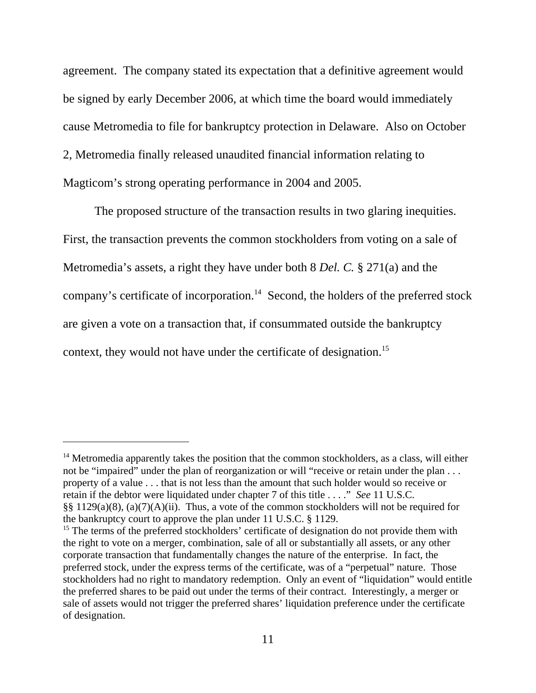agreement. The company stated its expectation that a definitive agreement would be signed by early December 2006, at which time the board would immediately cause Metromedia to file for bankruptcy protection in Delaware. Also on October 2, Metromedia finally released unaudited financial information relating to Magticom's strong operating performance in 2004 and 2005.

The proposed structure of the transaction results in two glaring inequities. First, the transaction prevents the common stockholders from voting on a sale of Metromedia's assets, a right they have under both 8 *Del. C.* § 271(a) and the company's certificate of incorporation.<sup>14</sup> Second, the holders of the preferred stock are given a vote on a transaction that, if consummated outside the bankruptcy context, they would not have under the certificate of designation.<sup>15</sup>

 $14$  Metromedia apparently takes the position that the common stockholders, as a class, will either not be "impaired" under the plan of reorganization or will "receive or retain under the plan . . . property of a value . . . that is not less than the amount that such holder would so receive or retain if the debtor were liquidated under chapter 7 of this title . . . ." *See* 11 U.S.C. §§ 1129(a)(8), (a)(7)(A)(ii). Thus, a vote of the common stockholders will not be required for the bankruptcy court to approve the plan under 11 U.S.C. § 1129.

<sup>&</sup>lt;sup>15</sup> The terms of the preferred stockholders' certificate of designation do not provide them with the right to vote on a merger, combination, sale of all or substantially all assets, or any other corporate transaction that fundamentally changes the nature of the enterprise. In fact, the preferred stock, under the express terms of the certificate, was of a "perpetual" nature. Those stockholders had no right to mandatory redemption. Only an event of "liquidation" would entitle the preferred shares to be paid out under the terms of their contract. Interestingly, a merger or sale of assets would not trigger the preferred shares' liquidation preference under the certificate of designation.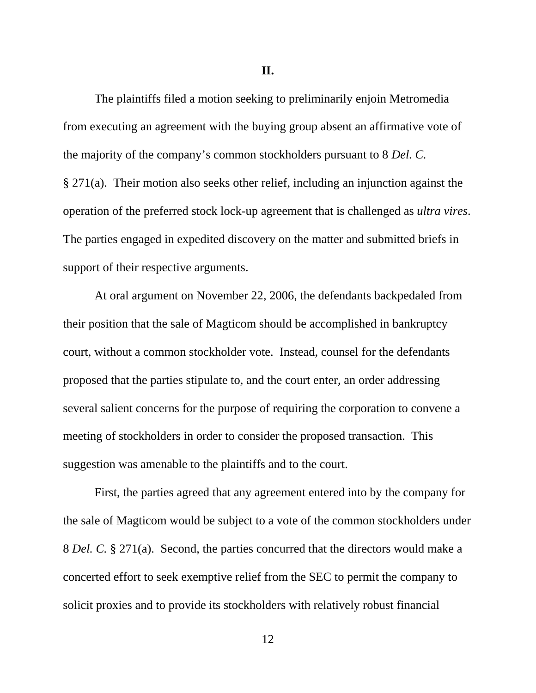**II.**

The plaintiffs filed a motion seeking to preliminarily enjoin Metromedia from executing an agreement with the buying group absent an affirmative vote of the majority of the company's common stockholders pursuant to 8 *Del. C.*  § 271(a). Their motion also seeks other relief, including an injunction against the operation of the preferred stock lock-up agreement that is challenged as *ultra vires*. The parties engaged in expedited discovery on the matter and submitted briefs in support of their respective arguments.

At oral argument on November 22, 2006, the defendants backpedaled from their position that the sale of Magticom should be accomplished in bankruptcy court, without a common stockholder vote. Instead, counsel for the defendants proposed that the parties stipulate to, and the court enter, an order addressing several salient concerns for the purpose of requiring the corporation to convene a meeting of stockholders in order to consider the proposed transaction. This suggestion was amenable to the plaintiffs and to the court.

First, the parties agreed that any agreement entered into by the company for the sale of Magticom would be subject to a vote of the common stockholders under 8 *Del. C.* § 271(a). Second, the parties concurred that the directors would make a concerted effort to seek exemptive relief from the SEC to permit the company to solicit proxies and to provide its stockholders with relatively robust financial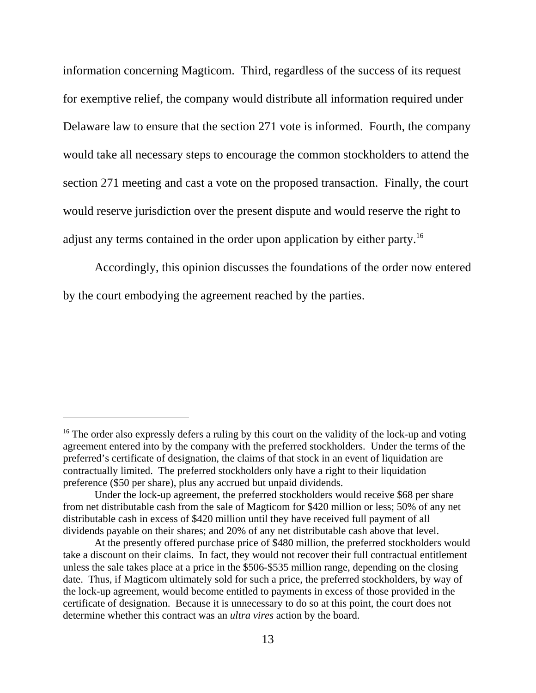information concerning Magticom. Third, regardless of the success of its request for exemptive relief, the company would distribute all information required under Delaware law to ensure that the section 271 vote is informed. Fourth, the company would take all necessary steps to encourage the common stockholders to attend the section 271 meeting and cast a vote on the proposed transaction. Finally, the court would reserve jurisdiction over the present dispute and would reserve the right to adjust any terms contained in the order upon application by either party.<sup>16</sup>

Accordingly, this opinion discusses the foundations of the order now entered by the court embodying the agreement reached by the parties.

 $16$  The order also expressly defers a ruling by this court on the validity of the lock-up and voting agreement entered into by the company with the preferred stockholders. Under the terms of the preferred's certificate of designation, the claims of that stock in an event of liquidation are contractually limited. The preferred stockholders only have a right to their liquidation preference (\$50 per share), plus any accrued but unpaid dividends.

Under the lock-up agreement, the preferred stockholders would receive \$68 per share from net distributable cash from the sale of Magticom for \$420 million or less; 50% of any net distributable cash in excess of \$420 million until they have received full payment of all dividends payable on their shares; and 20% of any net distributable cash above that level.

At the presently offered purchase price of \$480 million, the preferred stockholders would take a discount on their claims. In fact, they would not recover their full contractual entitlement unless the sale takes place at a price in the \$506-\$535 million range, depending on the closing date. Thus, if Magticom ultimately sold for such a price, the preferred stockholders, by way of the lock-up agreement, would become entitled to payments in excess of those provided in the certificate of designation. Because it is unnecessary to do so at this point, the court does not determine whether this contract was an *ultra vires* action by the board.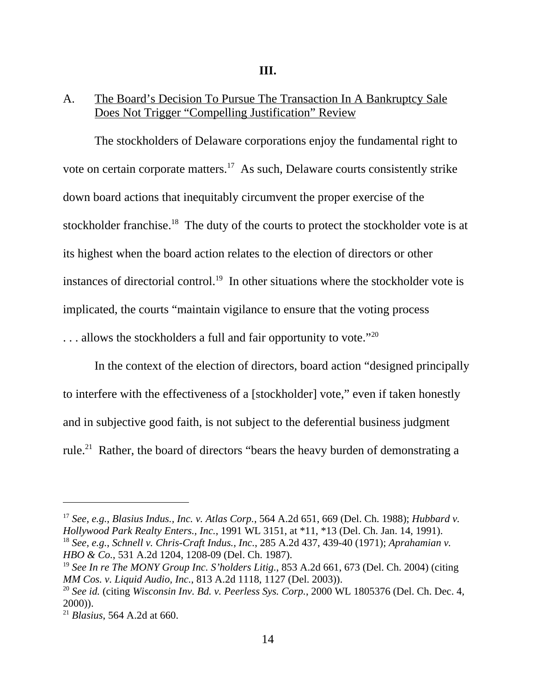#### **III.**

## A. The Board's Decision To Pursue The Transaction In A Bankruptcy Sale Does Not Trigger "Compelling Justification" Review

The stockholders of Delaware corporations enjoy the fundamental right to vote on certain corporate matters.17 As such, Delaware courts consistently strike down board actions that inequitably circumvent the proper exercise of the stockholder franchise.<sup>18</sup> The duty of the courts to protect the stockholder vote is at its highest when the board action relates to the election of directors or other instances of directorial control.<sup>19</sup> In other situations where the stockholder vote is implicated, the courts "maintain vigilance to ensure that the voting process . . . allows the stockholders a full and fair opportunity to vote."20

In the context of the election of directors, board action "designed principally to interfere with the effectiveness of a [stockholder] vote," even if taken honestly and in subjective good faith, is not subject to the deferential business judgment rule.21 Rather, the board of directors "bears the heavy burden of demonstrating a

<sup>17</sup> *See, e.g.*, *Blasius Indus., Inc. v. Atlas Corp.*, 564 A.2d 651, 669 (Del. Ch. 1988); *Hubbard v. Hollywood Park Realty Enters., Inc.*, 1991 WL 3151, at \*11, \*13 (Del. Ch. Jan. 14, 1991). <sup>18</sup> *See, e.g.*, *Schnell v. Chris-Craft Indus., Inc.*, 285 A.2d 437, 439-40 (1971); *Aprahamian v. HBO & Co.*, 531 A.2d 1204, 1208-09 (Del. Ch. 1987).

<sup>19</sup> *See In re The MONY Group Inc. S'holders Litig.*, 853 A.2d 661, 673 (Del. Ch. 2004) (citing *MM Cos. v. Liquid Audio, Inc.*, 813 A.2d 1118, 1127 (Del. 2003)).

<sup>20</sup> *See id.* (citing *Wisconsin Inv. Bd. v. Peerless Sys. Corp.*, 2000 WL 1805376 (Del. Ch. Dec. 4, 2000)).

<sup>21</sup> *Blasius*, 564 A.2d at 660.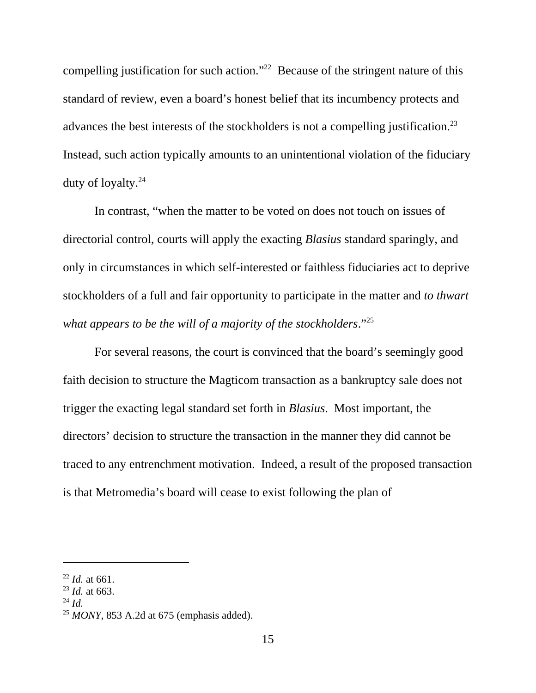compelling justification for such action."<sup>22</sup> Because of the stringent nature of this standard of review, even a board's honest belief that its incumbency protects and advances the best interests of the stockholders is not a compelling justification.<sup>23</sup> Instead, such action typically amounts to an unintentional violation of the fiduciary duty of loyalty.24

In contrast, "when the matter to be voted on does not touch on issues of directorial control, courts will apply the exacting *Blasius* standard sparingly, and only in circumstances in which self-interested or faithless fiduciaries act to deprive stockholders of a full and fair opportunity to participate in the matter and *to thwart what appears to be the will of a majority of the stockholders*."25

For several reasons, the court is convinced that the board's seemingly good faith decision to structure the Magticom transaction as a bankruptcy sale does not trigger the exacting legal standard set forth in *Blasius*. Most important, the directors' decision to structure the transaction in the manner they did cannot be traced to any entrenchment motivation. Indeed, a result of the proposed transaction is that Metromedia's board will cease to exist following the plan of

<sup>24</sup> *Id.*

<sup>22</sup> *Id.* at 661.

<sup>23</sup> *Id.* at 663.

<sup>25</sup> *MONY*, 853 A.2d at 675 (emphasis added).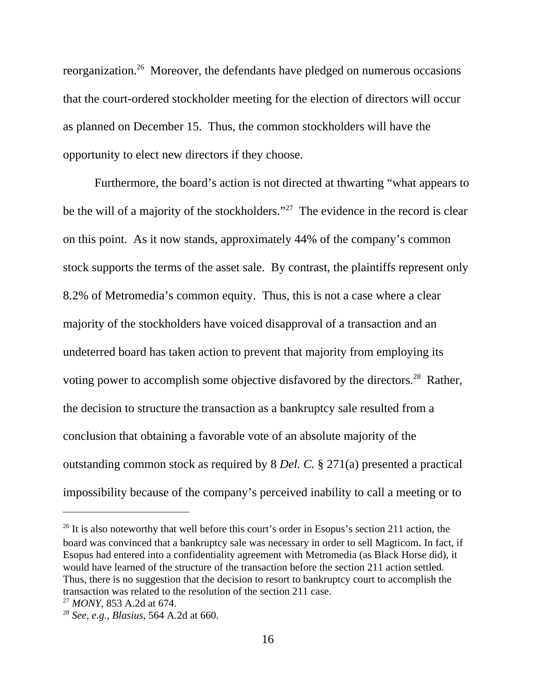reorganization.26 Moreover, the defendants have pledged on numerous occasions that the court-ordered stockholder meeting for the election of directors will occur as planned on December 15. Thus, the common stockholders will have the opportunity to elect new directors if they choose.

Furthermore, the board's action is not directed at thwarting "what appears to be the will of a majority of the stockholders."<sup>27</sup> The evidence in the record is clear on this point. As it now stands, approximately 44% of the company's common stock supports the terms of the asset sale. By contrast, the plaintiffs represent only 8.2% of Metromedia's common equity. Thus, this is not a case where a clear majority of the stockholders have voiced disapproval of a transaction and an undeterred board has taken action to prevent that majority from employing its voting power to accomplish some objective disfavored by the directors.<sup>28</sup> Rather, the decision to structure the transaction as a bankruptcy sale resulted from a conclusion that obtaining a favorable vote of an absolute majority of the outstanding common stock as required by 8 *Del. C.* § 271(a) presented a practical impossibility because of the company's perceived inability to call a meeting or to

 $26$  It is also noteworthy that well before this court's order in Esopus's section 211 action, the board was convinced that a bankruptcy sale was necessary in order to sell Magticom. In fact, if Esopus had entered into a confidentiality agreement with Metromedia (as Black Horse did), it would have learned of the structure of the transaction before the section 211 action settled. Thus, there is no suggestion that the decision to resort to bankruptcy court to accomplish the transaction was related to the resolution of the section 211 case.

<sup>27</sup> *MONY*, 853 A.2d at 674.

<sup>28</sup> *See, e.g.*, *Blasius*, 564 A.2d at 660.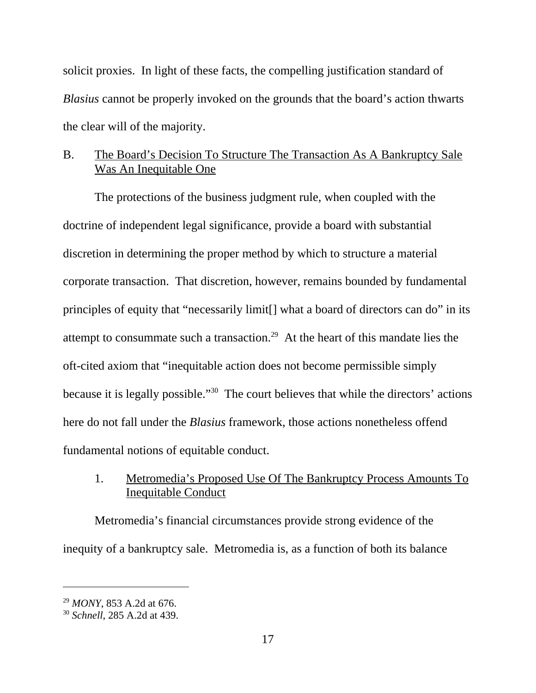solicit proxies. In light of these facts, the compelling justification standard of *Blasius* cannot be properly invoked on the grounds that the board's action thwarts the clear will of the majority.

# B. The Board's Decision To Structure The Transaction As A Bankruptcy Sale Was An Inequitable One

The protections of the business judgment rule, when coupled with the doctrine of independent legal significance, provide a board with substantial discretion in determining the proper method by which to structure a material corporate transaction. That discretion, however, remains bounded by fundamental principles of equity that "necessarily limit[] what a board of directors can do" in its attempt to consummate such a transaction.<sup>29</sup> At the heart of this mandate lies the oft-cited axiom that "inequitable action does not become permissible simply because it is legally possible."30 The court believes that while the directors' actions here do not fall under the *Blasius* framework, those actions nonetheless offend fundamental notions of equitable conduct.

# 1. Metromedia's Proposed Use Of The Bankruptcy Process Amounts To Inequitable Conduct

Metromedia's financial circumstances provide strong evidence of the inequity of a bankruptcy sale. Metromedia is, as a function of both its balance

<sup>29</sup> *MONY*, 853 A.2d at 676.

<sup>30</sup> *Schnell*, 285 A.2d at 439.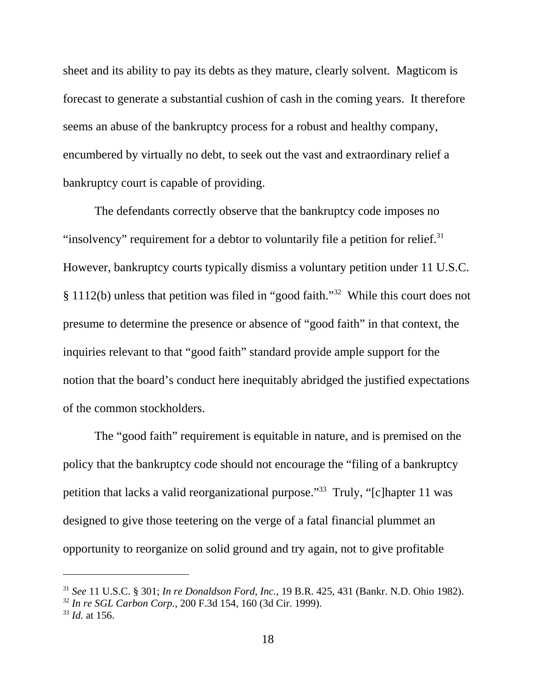sheet and its ability to pay its debts as they mature, clearly solvent. Magticom is forecast to generate a substantial cushion of cash in the coming years. It therefore seems an abuse of the bankruptcy process for a robust and healthy company, encumbered by virtually no debt, to seek out the vast and extraordinary relief a bankruptcy court is capable of providing.

The defendants correctly observe that the bankruptcy code imposes no "insolvency" requirement for a debtor to voluntarily file a petition for relief.<sup>31</sup> However, bankruptcy courts typically dismiss a voluntary petition under 11 U.S.C. § 1112(b) unless that petition was filed in "good faith."32 While this court does not presume to determine the presence or absence of "good faith" in that context, the inquiries relevant to that "good faith" standard provide ample support for the notion that the board's conduct here inequitably abridged the justified expectations of the common stockholders.

The "good faith" requirement is equitable in nature, and is premised on the policy that the bankruptcy code should not encourage the "filing of a bankruptcy petition that lacks a valid reorganizational purpose."33 Truly, "[c]hapter 11 was designed to give those teetering on the verge of a fatal financial plummet an opportunity to reorganize on solid ground and try again, not to give profitable

<sup>31</sup> *See* 11 U.S.C. § 301; *In re Donaldson Ford, Inc.*, 19 B.R. 425, 431 (Bankr. N.D. Ohio 1982).

<sup>32</sup> *In re SGL Carbon Corp.*, 200 F.3d 154, 160 (3d Cir. 1999).

<sup>33</sup> *Id.* at 156.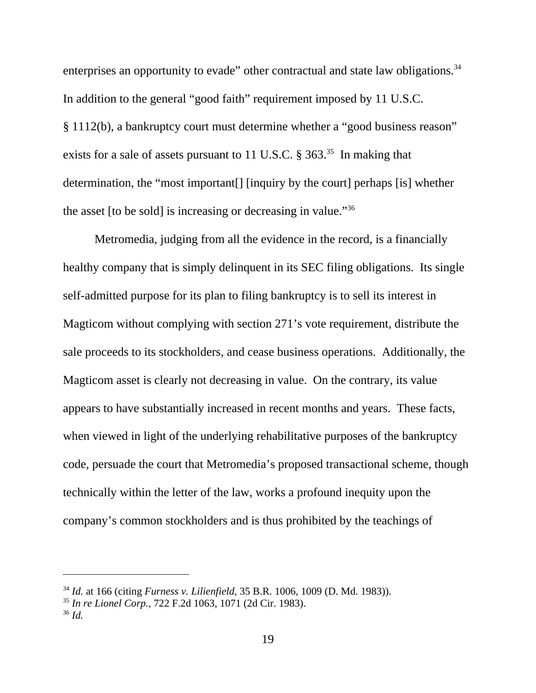enterprises an opportunity to evade" other contractual and state law obligations.<sup>34</sup> In addition to the general "good faith" requirement imposed by 11 U.S.C. § 1112(b), a bankruptcy court must determine whether a "good business reason" exists for a sale of assets pursuant to 11 U.S.C.  $\S 363$ <sup>35</sup>. In making that determination, the "most important[] [inquiry by the court] perhaps [is] whether the asset [to be sold] is increasing or decreasing in value."36

Metromedia, judging from all the evidence in the record, is a financially healthy company that is simply delinquent in its SEC filing obligations. Its single self-admitted purpose for its plan to filing bankruptcy is to sell its interest in Magticom without complying with section 271's vote requirement, distribute the sale proceeds to its stockholders, and cease business operations. Additionally, the Magticom asset is clearly not decreasing in value. On the contrary, its value appears to have substantially increased in recent months and years. These facts, when viewed in light of the underlying rehabilitative purposes of the bankruptcy code, persuade the court that Metromedia's proposed transactional scheme, though technically within the letter of the law, works a profound inequity upon the company's common stockholders and is thus prohibited by the teachings of

<sup>34</sup> *Id.* at 166 (citing *Furness v. Lilienfield*, 35 B.R. 1006, 1009 (D. Md. 1983)).

<sup>35</sup> *In re Lionel Corp.*, 722 F.2d 1063, 1071 (2d Cir. 1983).

<sup>36</sup> *Id.*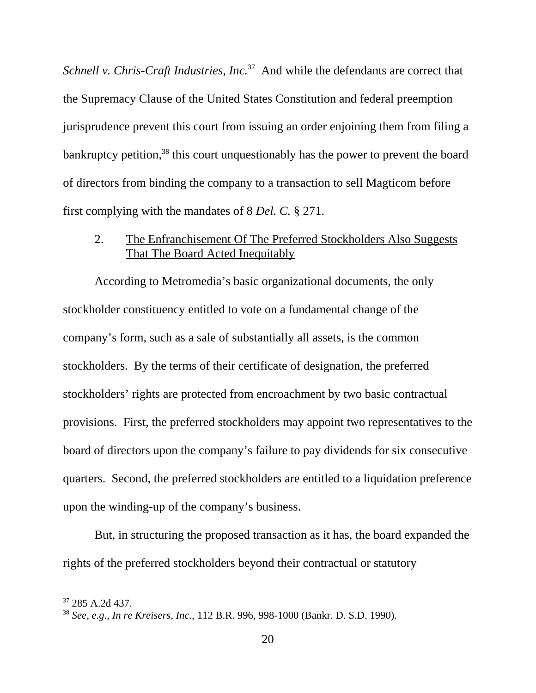*Schnell v. Chris-Craft Industries, Inc.*<sup>37</sup> And while the defendants are correct that the Supremacy Clause of the United States Constitution and federal preemption jurisprudence prevent this court from issuing an order enjoining them from filing a bankruptcy petition,<sup>38</sup> this court unquestionably has the power to prevent the board of directors from binding the company to a transaction to sell Magticom before first complying with the mandates of 8 *Del. C.* § 271.

2. The Enfranchisement Of The Preferred Stockholders Also Suggests That The Board Acted Inequitably

According to Metromedia's basic organizational documents, the only stockholder constituency entitled to vote on a fundamental change of the company's form, such as a sale of substantially all assets, is the common stockholders. By the terms of their certificate of designation, the preferred stockholders' rights are protected from encroachment by two basic contractual provisions. First, the preferred stockholders may appoint two representatives to the board of directors upon the company's failure to pay dividends for six consecutive quarters. Second, the preferred stockholders are entitled to a liquidation preference upon the winding-up of the company's business.

But, in structuring the proposed transaction as it has, the board expanded the rights of the preferred stockholders beyond their contractual or statutory

<sup>37 285</sup> A.2d 437.

<sup>38</sup> *See, e.g.*, *In re Kreisers, Inc.*, 112 B.R. 996, 998-1000 (Bankr. D. S.D. 1990).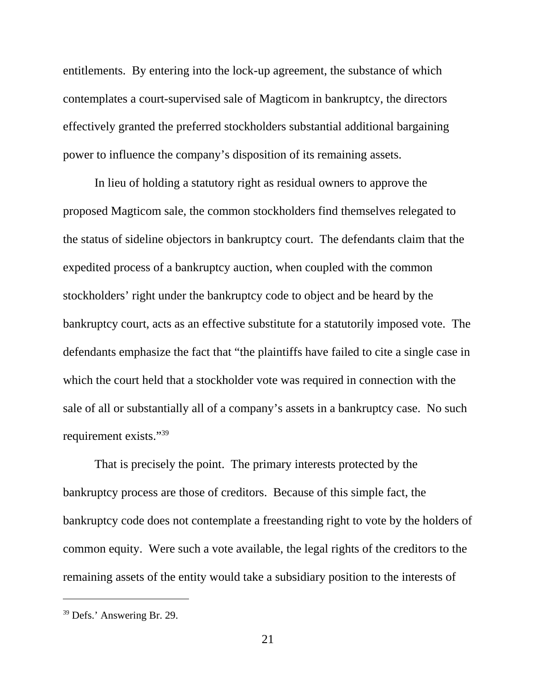entitlements. By entering into the lock-up agreement, the substance of which contemplates a court-supervised sale of Magticom in bankruptcy, the directors effectively granted the preferred stockholders substantial additional bargaining power to influence the company's disposition of its remaining assets.

In lieu of holding a statutory right as residual owners to approve the proposed Magticom sale, the common stockholders find themselves relegated to the status of sideline objectors in bankruptcy court. The defendants claim that the expedited process of a bankruptcy auction, when coupled with the common stockholders' right under the bankruptcy code to object and be heard by the bankruptcy court, acts as an effective substitute for a statutorily imposed vote. The defendants emphasize the fact that "the plaintiffs have failed to cite a single case in which the court held that a stockholder vote was required in connection with the sale of all or substantially all of a company's assets in a bankruptcy case. No such requirement exists."39

That is precisely the point. The primary interests protected by the bankruptcy process are those of creditors. Because of this simple fact, the bankruptcy code does not contemplate a freestanding right to vote by the holders of common equity. Were such a vote available, the legal rights of the creditors to the remaining assets of the entity would take a subsidiary position to the interests of

<sup>39</sup> Defs.' Answering Br. 29.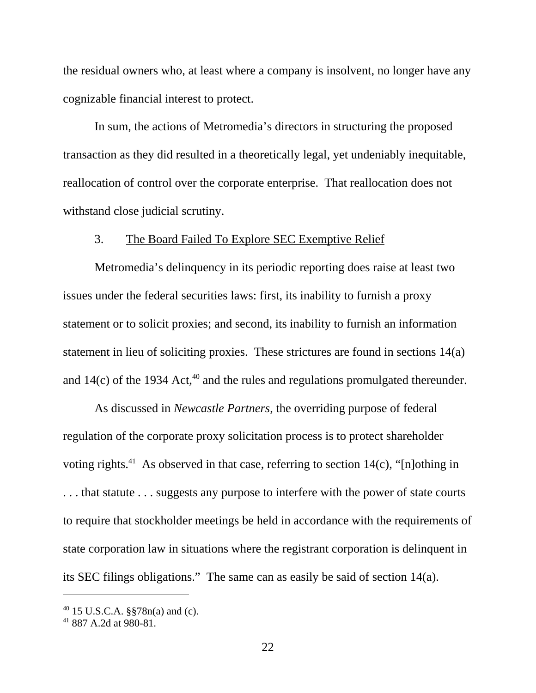the residual owners who, at least where a company is insolvent, no longer have any cognizable financial interest to protect.

In sum, the actions of Metromedia's directors in structuring the proposed transaction as they did resulted in a theoretically legal, yet undeniably inequitable, reallocation of control over the corporate enterprise. That reallocation does not withstand close judicial scrutiny.

#### 3. The Board Failed To Explore SEC Exemptive Relief

Metromedia's delinquency in its periodic reporting does raise at least two issues under the federal securities laws: first, its inability to furnish a proxy statement or to solicit proxies; and second, its inability to furnish an information statement in lieu of soliciting proxies. These strictures are found in sections 14(a) and  $14(c)$  of the 1934 Act,<sup>40</sup> and the rules and regulations promulgated thereunder.

As discussed in *Newcastle Partners*, the overriding purpose of federal regulation of the corporate proxy solicitation process is to protect shareholder voting rights.<sup>41</sup> As observed in that case, referring to section  $14(c)$ , "[n]othing in . . . that statute . . . suggests any purpose to interfere with the power of state courts to require that stockholder meetings be held in accordance with the requirements of state corporation law in situations where the registrant corporation is delinquent in its SEC filings obligations." The same can as easily be said of section 14(a).

<sup>40 15</sup> U.S.C.A. §§78n(a) and (c).

<sup>41 887</sup> A.2d at 980-81.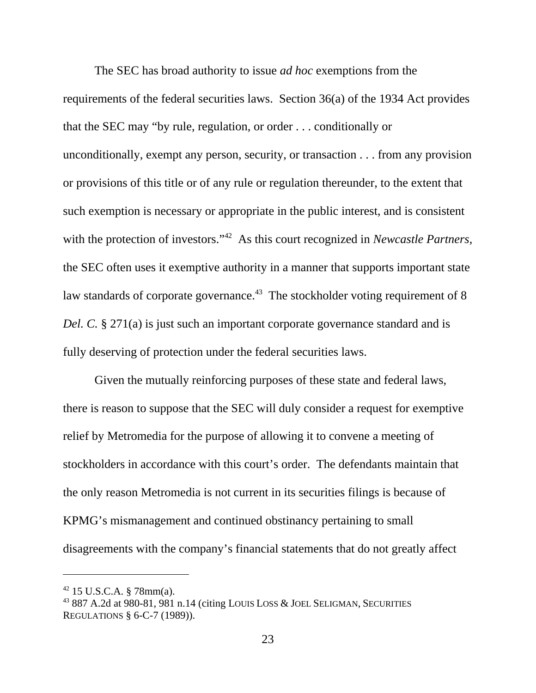The SEC has broad authority to issue *ad hoc* exemptions from the requirements of the federal securities laws. Section 36(a) of the 1934 Act provides that the SEC may "by rule, regulation, or order . . . conditionally or unconditionally, exempt any person, security, or transaction . . . from any provision or provisions of this title or of any rule or regulation thereunder, to the extent that such exemption is necessary or appropriate in the public interest, and is consistent with the protection of investors."<sup>42</sup> As this court recognized in *Newcastle Partners*, the SEC often uses it exemptive authority in a manner that supports important state law standards of corporate governance.<sup>43</sup> The stockholder voting requirement of 8 *Del. C.* § 271(a) is just such an important corporate governance standard and is fully deserving of protection under the federal securities laws.

Given the mutually reinforcing purposes of these state and federal laws, there is reason to suppose that the SEC will duly consider a request for exemptive relief by Metromedia for the purpose of allowing it to convene a meeting of stockholders in accordance with this court's order. The defendants maintain that the only reason Metromedia is not current in its securities filings is because of KPMG's mismanagement and continued obstinancy pertaining to small disagreements with the company's financial statements that do not greatly affect

 $42$  15 U.S.C.A. § 78mm(a).

<sup>43 887</sup> A.2d at 980-81, 981 n.14 (citing LOUIS LOSS & JOEL SELIGMAN, SECURITIES REGULATIONS § 6-C-7 (1989)).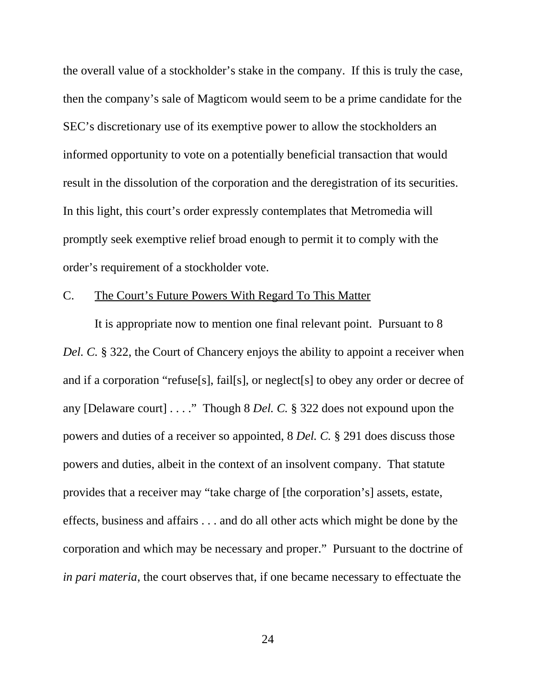the overall value of a stockholder's stake in the company. If this is truly the case, then the company's sale of Magticom would seem to be a prime candidate for the SEC's discretionary use of its exemptive power to allow the stockholders an informed opportunity to vote on a potentially beneficial transaction that would result in the dissolution of the corporation and the deregistration of its securities. In this light, this court's order expressly contemplates that Metromedia will promptly seek exemptive relief broad enough to permit it to comply with the order's requirement of a stockholder vote.

#### C. The Court's Future Powers With Regard To This Matter

It is appropriate now to mention one final relevant point. Pursuant to 8 *Del. C.* § 322, the Court of Chancery enjoys the ability to appoint a receiver when and if a corporation "refuse[s], fail[s], or neglect[s] to obey any order or decree of any [Delaware court] . . . ." Though 8 *Del. C.* § 322 does not expound upon the powers and duties of a receiver so appointed, 8 *Del. C.* § 291 does discuss those powers and duties, albeit in the context of an insolvent company. That statute provides that a receiver may "take charge of [the corporation's] assets, estate, effects, business and affairs . . . and do all other acts which might be done by the corporation and which may be necessary and proper." Pursuant to the doctrine of *in pari materia*, the court observes that, if one became necessary to effectuate the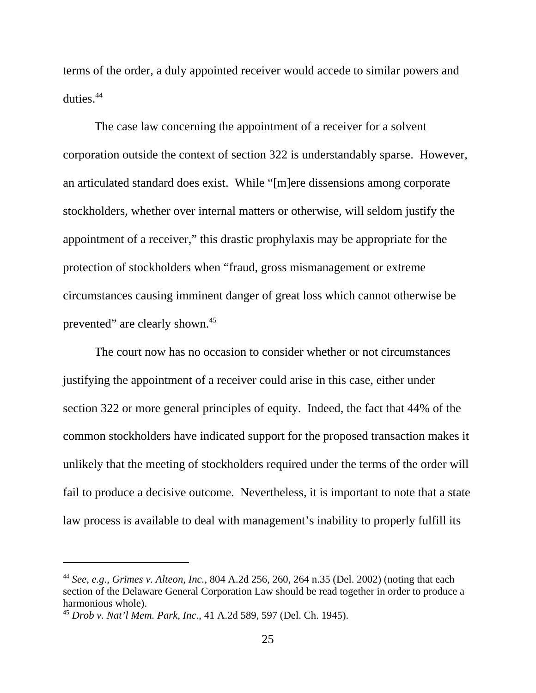terms of the order, a duly appointed receiver would accede to similar powers and duties.44

The case law concerning the appointment of a receiver for a solvent corporation outside the context of section 322 is understandably sparse. However, an articulated standard does exist. While "[m]ere dissensions among corporate stockholders, whether over internal matters or otherwise, will seldom justify the appointment of a receiver," this drastic prophylaxis may be appropriate for the protection of stockholders when "fraud, gross mismanagement or extreme circumstances causing imminent danger of great loss which cannot otherwise be prevented" are clearly shown.45

The court now has no occasion to consider whether or not circumstances justifying the appointment of a receiver could arise in this case, either under section 322 or more general principles of equity. Indeed, the fact that 44% of the common stockholders have indicated support for the proposed transaction makes it unlikely that the meeting of stockholders required under the terms of the order will fail to produce a decisive outcome. Nevertheless, it is important to note that a state law process is available to deal with management's inability to properly fulfill its

<sup>44</sup> *See, e.g.*, *Grimes v. Alteon, Inc.*, 804 A.2d 256, 260, 264 n.35 (Del. 2002) (noting that each section of the Delaware General Corporation Law should be read together in order to produce a harmonious whole).

<sup>45</sup> *Drob v. Nat'l Mem. Park, Inc.*, 41 A.2d 589, 597 (Del. Ch. 1945).